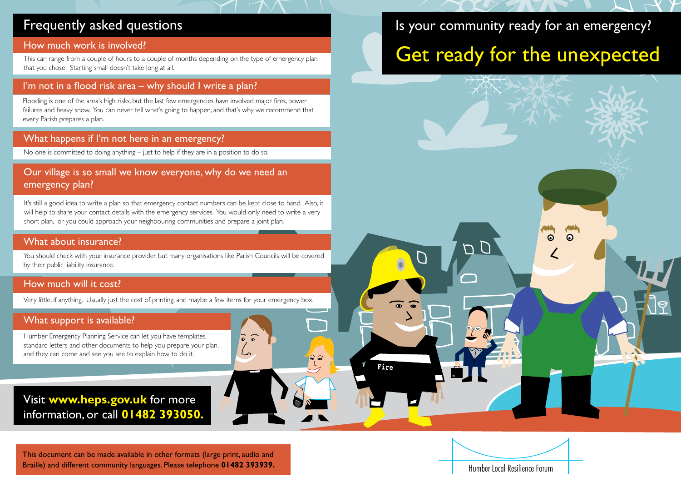### Frequently asked questions

#### How much work is involved?

This can range from a couple of hours to a couple of months depending on the type of emergency plan that you chose. Starting small doesn't take long at all.

### I'm not in a flood risk area – why should I write a plan?

Flooding is one of the area's high risks, but the last few emergencies have involved major fires, power failures and heavy snow. You can never tell what's going to happen, and that's why we recommend that every Parish prepares a plan.

### What happens if I'm not here in an emergency?

No one is committed to doing anything – just to help if they are in a position to do so.

### Our village is so small we know everyone, why do we need an emergency plan?

It's still a good idea to write a plan so that emergency contact numbers can be kept close to hand. Also, it will help to share your contact details with the emergency services. You would only need to write a very short plan, or you could approach your neighbouring communities and prepare a joint plan.

#### What about insurance?

You should check with your insurance provider, but many organisations like Parish Councils will be covered by their public liability insurance.

#### How much will it cost?

Very little, if anything. Usually just the cost of printing, and maybe a few items for your emergency box.

 $\widehat{\bullet}$   $\widehat{\bullet}$ 

### What support is available?

Humber Emergency Planning Service can let you have templates, standard letters and other documents to help you prepare your plan, and they can come and see you see to explain how to do it.

### Visit **www.heps.gov.uk** for more information, or call **01482 393050.**

This document can be made available in other formats (large print, audio and Braille) and different community languages. Please telephone **01482 393939.**

# Is your community ready for an emergency?

# Get ready for the unexpected



Humber Local Resilience Forum